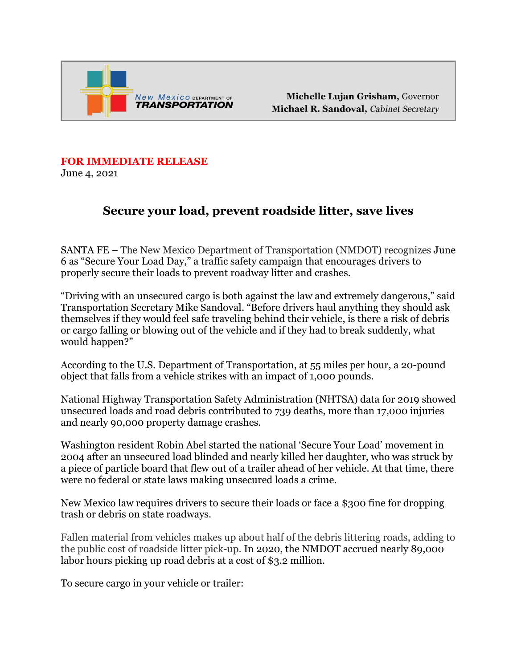

Michelle Lujan Grisham, Governor Michael R. Sandoval, Cabinet Secretary

## **FOR IMMEDIATE RELEASE**

June 4, 2021

## **Secure your load, prevent roadside litter, save lives**

SANTA FE – The New Mexico Department of Transportation (NMDOT) recognizes June 6 as "Secure Your Load Day," a traffic safety campaign that encourages drivers to properly secure their loads to prevent roadway litter and crashes.

"Driving with an unsecured cargo is both against the law and extremely dangerous," said Transportation Secretary Mike Sandoval. "Before drivers haul anything they should ask themselves if they would feel safe traveling behind their vehicle, is there a risk of debris or cargo falling or blowing out of the vehicle and if they had to break suddenly, what would happen?"

According to the U.S. Department of Transportation, at 55 miles per hour, a 20-pound object that falls from a vehicle strikes with an impact of 1,000 pounds.

National Highway Transportation Safety Administration (NHTSA) data for 2019 showed unsecured loads and road debris contributed to 739 deaths, more than 17,000 injuries and nearly 90,000 property damage crashes.

Washington resident Robin Abel started the national 'Secure Your Load' movement in 2004 after an unsecured load blinded and nearly killed her daughter, who was struck by a piece of particle board that flew out of a trailer ahead of her vehicle. At that time, there were no federal or state laws making unsecured loads a crime.

New Mexico law requires drivers to secure their loads or face a \$300 fine for dropping trash or debris on state roadways.

Fallen material from vehicles makes up about half of the debris littering roads, adding to the public cost of roadside litter pick-up. In 2020, the NMDOT accrued nearly 89,000 labor hours picking up road debris at a cost of \$3.2 million.

To secure cargo in your vehicle or trailer: